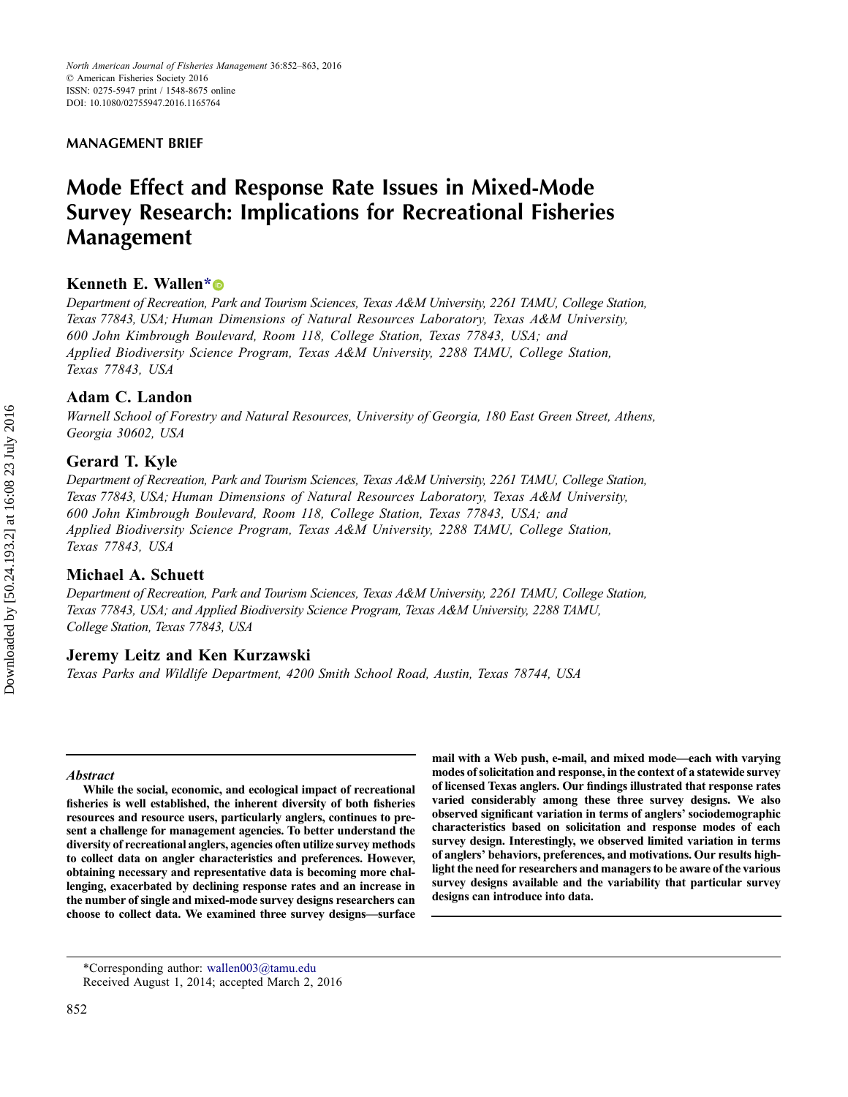## MANAGEMENT BRIEF

# Mode Effect and Response Rate Issues in Mixed-Mode Survey Research: Implications for Recreational Fisheries Management

# Kenneth E. Wallen[\\*](#page-0-0)

Department of Recreation, Park and Tourism Sciences, Texas A&M University, 2261 TAMU, College Station, Texas 77843, USA; Human Dimensions of Natural Resources Laboratory, Texas A&M University, 600 John Kimbrough Boulevard, Room 118, College Station, Texas 77843, USA; and Applied Biodiversity Science Program, Texas A&M University, 2288 TAMU, College Station, Texas 77843, USA

# Adam C. Landon

Warnell School of Forestry and Natural Resources, University of Georgia, 180 East Green Street, Athens, Georgia 30602, USA

# Gerard T. Kyle

Department of Recreation, Park and Tourism Sciences, Texas A&M University, 2261 TAMU, College Station, Texas 77843, USA; Human Dimensions of Natural Resources Laboratory, Texas A&M University, 600 John Kimbrough Boulevard, Room 118, College Station, Texas 77843, USA; and Applied Biodiversity Science Program, Texas A&M University, 2288 TAMU, College Station, Texas 77843, USA

# Michael A. Schuett

Department of Recreation, Park and Tourism Sciences, Texas A&M University, 2261 TAMU, College Station, Texas 77843, USA; and Applied Biodiversity Science Program, Texas A&M University, 2288 TAMU, College Station, Texas 77843, USA

# Jeremy Leitz and Ken Kurzawski

Texas Parks and Wildlife Department, 4200 Smith School Road, Austin, Texas 78744, USA

#### **Abstract**

While the social, economic, and ecological impact of recreational fisheries is well established, the inherent diversity of both fisheries resources and resource users, particularly anglers, continues to present a challenge for management agencies. To better understand the diversity of recreational anglers, agencies often utilize survey methods to collect data on angler characteristics and preferences. However, obtaining necessary and representative data is becoming more challenging, exacerbated by declining response rates and an increase in the number of single and mixed-mode survey designs researchers can choose to collect data. We examined three survey designs—surface mail with a Web push, e-mail, and mixed mode—each with varying modes of solicitation and response, in the context of a statewide survey of licensed Texas anglers. Our findings illustrated that response rates varied considerably among these three survey designs. We also observed significant variation in terms of anglers' sociodemographic characteristics based on solicitation and response modes of each survey design. Interestingly, we observed limited variation in terms of anglers' behaviors, preferences, and motivations. Our results highlight the need for researchers and managers to be aware of the various survey designs available and the variability that particular survey designs can introduce into data.

<span id="page-0-0"></span><sup>\*</sup>Corresponding author: wallen003@tamu.edu

Received August 1, 2014; accepted March 2, 2016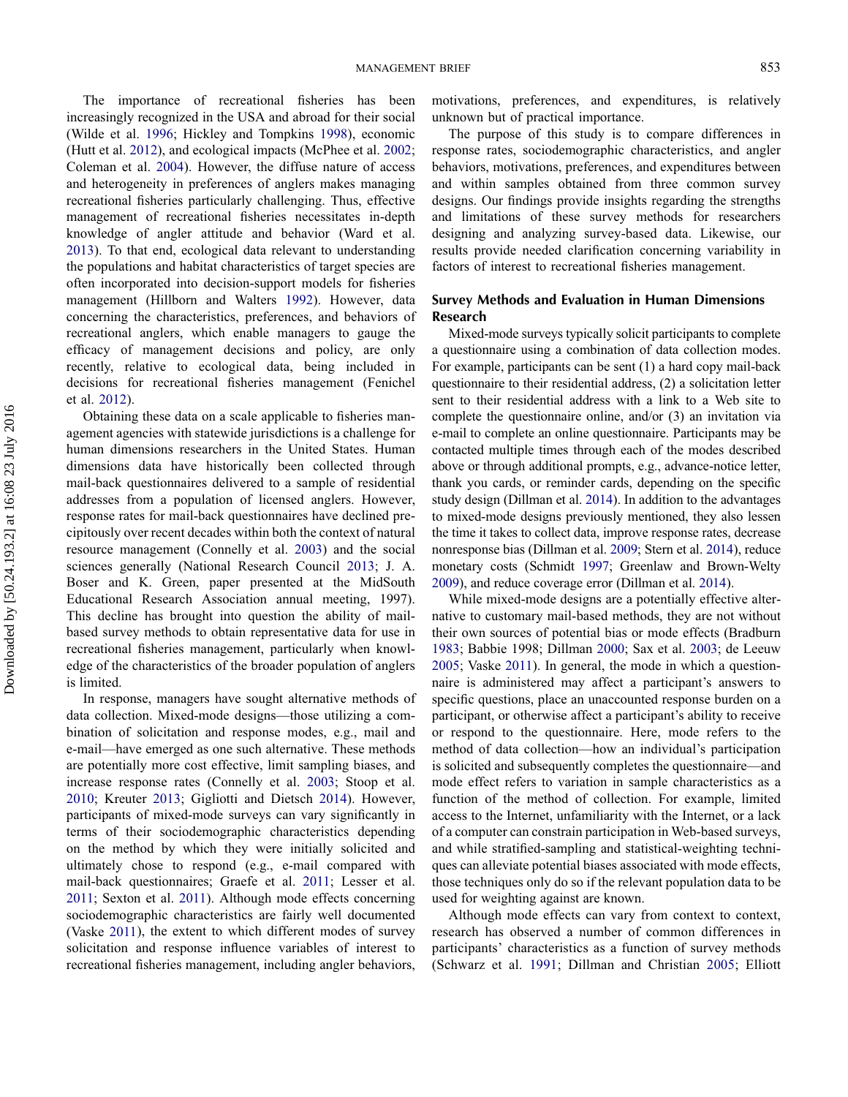The importance of recreational fisheries has been increasingly recognized in the USA and abroad for their social (Wilde et al. [1996](#page-11-0); Hickley and Tompkins [1998](#page-10-0)), economic (Hutt et al. [2012\)](#page-10-1), and ecological impacts (McPhee et al. [2002](#page-10-2); Coleman et al. [2004\)](#page-9-0). However, the diffuse nature of access and heterogeneity in preferences of anglers makes managing recreational fisheries particularly challenging. Thus, effective management of recreational fisheries necessitates in-depth knowledge of angler attitude and behavior (Ward et al. [2013\)](#page-11-1). To that end, ecological data relevant to understanding the populations and habitat characteristics of target species are often incorporated into decision-support models for fisheries management (Hillborn and Walters [1992](#page-10-3)). However, data concerning the characteristics, preferences, and behaviors of recreational anglers, which enable managers to gauge the efficacy of management decisions and policy, are only recently, relative to ecological data, being included in decisions for recreational fisheries management (Fenichel et al. [2012\)](#page-10-4).

Obtaining these data on a scale applicable to fisheries management agencies with statewide jurisdictions is a challenge for human dimensions researchers in the United States. Human dimensions data have historically been collected through mail-back questionnaires delivered to a sample of residential addresses from a population of licensed anglers. However, response rates for mail-back questionnaires have declined precipitously over recent decades within both the context of natural resource management (Connelly et al. [2003\)](#page-9-1) and the social sciences generally (National Research Council [2013;](#page-10-5) J. A. Boser and K. Green, paper presented at the MidSouth Educational Research Association annual meeting, 1997). This decline has brought into question the ability of mailbased survey methods to obtain representative data for use in recreational fisheries management, particularly when knowledge of the characteristics of the broader population of anglers is limited.

In response, managers have sought alternative methods of data collection. Mixed-mode designs—those utilizing a combination of solicitation and response modes, e.g., mail and e-mail—have emerged as one such alternative. These methods are potentially more cost effective, limit sampling biases, and increase response rates (Connelly et al. [2003;](#page-9-1) Stoop et al. [2010;](#page-10-6) Kreuter [2013;](#page-10-7) Gigliotti and Dietsch [2014\)](#page-10-8). However, participants of mixed-mode surveys can vary significantly in terms of their sociodemographic characteristics depending on the method by which they were initially solicited and ultimately chose to respond (e.g., e-mail compared with mail-back questionnaires; Graefe et al. [2011;](#page-10-9) Lesser et al. [2011;](#page-10-10) Sexton et al. [2011](#page-10-11)). Although mode effects concerning sociodemographic characteristics are fairly well documented (Vaske [2011\)](#page-11-2), the extent to which different modes of survey solicitation and response influence variables of interest to recreational fisheries management, including angler behaviors,

motivations, preferences, and expenditures, is relatively unknown but of practical importance.

The purpose of this study is to compare differences in response rates, sociodemographic characteristics, and angler behaviors, motivations, preferences, and expenditures between and within samples obtained from three common survey designs. Our findings provide insights regarding the strengths and limitations of these survey methods for researchers designing and analyzing survey-based data. Likewise, our results provide needed clarification concerning variability in factors of interest to recreational fisheries management.

## Survey Methods and Evaluation in Human Dimensions Research

Mixed-mode surveys typically solicit participants to complete a questionnaire using a combination of data collection modes. For example, participants can be sent (1) a hard copy mail-back questionnaire to their residential address, (2) a solicitation letter sent to their residential address with a link to a Web site to complete the questionnaire online, and/or (3) an invitation via e-mail to complete an online questionnaire. Participants may be contacted multiple times through each of the modes described above or through additional prompts, e.g., advance-notice letter, thank you cards, or reminder cards, depending on the specific study design (Dillman et al. [2014\)](#page-10-12). In addition to the advantages to mixed-mode designs previously mentioned, they also lessen the time it takes to collect data, improve response rates, decrease nonresponse bias (Dillman et al. [2009](#page-10-13); Stern et al. [2014\)](#page-10-14), reduce monetary costs (Schmidt [1997;](#page-10-15) Greenlaw and Brown-Welty [2009\)](#page-10-16), and reduce coverage error (Dillman et al. [2014\)](#page-10-12).

While mixed-mode designs are a potentially effective alternative to customary mail-based methods, they are not without their own sources of potential bias or mode effects (Bradburn [1983;](#page-9-2) Babbie 1998; Dillman [2000](#page-9-3); Sax et al. [2003](#page-10-17); de Leeuw [2005;](#page-9-4) Vaske [2011\)](#page-11-2). In general, the mode in which a questionnaire is administered may affect a participant's answers to specific questions, place an unaccounted response burden on a participant, or otherwise affect a participant's ability to receive or respond to the questionnaire. Here, mode refers to the method of data collection—how an individual's participation is solicited and subsequently completes the questionnaire—and mode effect refers to variation in sample characteristics as a function of the method of collection. For example, limited access to the Internet, unfamiliarity with the Internet, or a lack of a computer can constrain participation in Web-based surveys, and while stratified-sampling and statistical-weighting techniques can alleviate potential biases associated with mode effects, those techniques only do so if the relevant population data to be used for weighting against are known.

Although mode effects can vary from context to context, research has observed a number of common differences in participants' characteristics as a function of survey methods (Schwarz et al. [1991;](#page-10-18) Dillman and Christian [2005;](#page-9-5) Elliott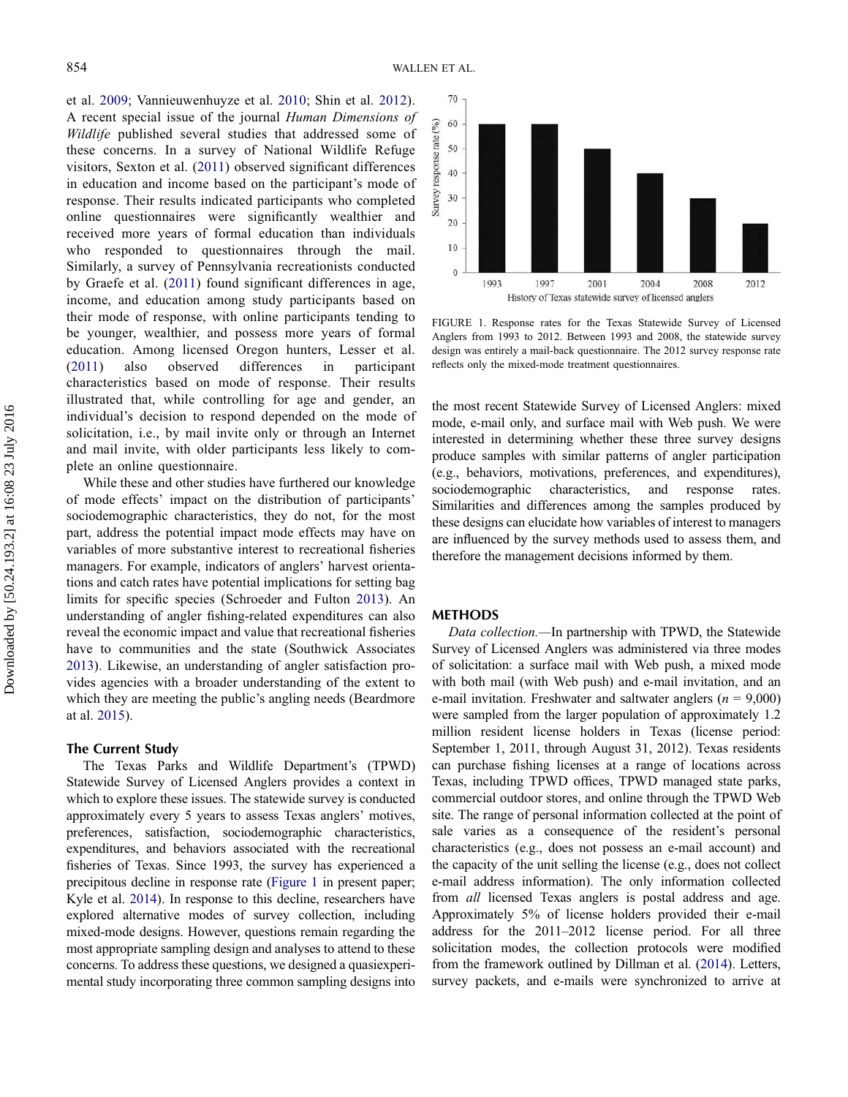et al. [2009](#page-10-19); Vannieuwenhuyze et al. [2010](#page-11-3); Shin et al. [2012](#page-10-20)). A recent special issue of the journal Human Dimensions of Wildlife published several studies that addressed some of these concerns. In a survey of National Wildlife Refuge visitors, Sexton et al. ([2011\)](#page-10-11) observed significant differences in education and income based on the participant's mode of response. Their results indicated participants who completed online questionnaires were significantly wealthier and received more years of formal education than individuals who responded to questionnaires through the mail. Similarly, a survey of Pennsylvania recreationists conducted by Graefe et al. ([2011\)](#page-10-9) found significant differences in age, income, and education among study participants based on their mode of response, with online participants tending to be younger, wealthier, and possess more years of formal education. Among licensed Oregon hunters, Lesser et al. [\(2011](#page-10-10)) also observed differences in participant characteristics based on mode of response. Their results illustrated that, while controlling for age and gender, an individual's decision to respond depended on the mode of solicitation, i.e., by mail invite only or through an Internet and mail invite, with older participants less likely to complete an online questionnaire.

While these and other studies have furthered our knowledge of mode effects' impact on the distribution of participants' sociodemographic characteristics, they do not, for the most part, address the potential impact mode effects may have on variables of more substantive interest to recreational fisheries managers. For example, indicators of anglers' harvest orientations and catch rates have potential implications for setting bag limits for specific species (Schroeder and Fulton [2013\)](#page-10-21). An understanding of angler fishing-related expenditures can also reveal the economic impact and value that recreational fisheries have to communities and the state (Southwick Associates [2013\)](#page-10-22). Likewise, an understanding of angler satisfaction provides agencies with a broader understanding of the extent to which they are meeting the public's angling needs (Beardmore at al. [2015](#page-9-6)).

#### The Current Study

The Texas Parks and Wildlife Department's (TPWD) Statewide Survey of Licensed Anglers provides a context in which to explore these issues. The statewide survey is conducted approximately every 5 years to assess Texas anglers' motives, preferences, satisfaction, sociodemographic characteristics, expenditures, and behaviors associated with the recreational fisheries of Texas. Since 1993, the survey has experienced a precipitous decline in response rate ([Figure 1](#page-2-0) in present paper; Kyle et al. [2014](#page-10-23)). In response to this decline, researchers have explored alternative modes of survey collection, including mixed-mode designs. However, questions remain regarding the most appropriate sampling design and analyses to attend to these concerns. To address these questions, we designed a quasiexperimental study incorporating three common sampling designs into



<span id="page-2-0"></span>FIGURE 1. Response rates for the Texas Statewide Survey of Licensed Anglers from 1993 to 2012. Between 1993 and 2008, the statewide survey design was entirely a mail-back questionnaire. The 2012 survey response rate reflects only the mixed-mode treatment questionnaires.

the most recent Statewide Survey of Licensed Anglers: mixed mode, e-mail only, and surface mail with Web push. We were interested in determining whether these three survey designs produce samples with similar patterns of angler participation (e.g., behaviors, motivations, preferences, and expenditures), sociodemographic characteristics, and response rates. Similarities and differences among the samples produced by these designs can elucidate how variables of interest to managers are influenced by the survey methods used to assess them, and therefore the management decisions informed by them.

## METHODS

Data collection.—In partnership with TPWD, the Statewide Survey of Licensed Anglers was administered via three modes of solicitation: a surface mail with Web push, a mixed mode with both mail (with Web push) and e-mail invitation, and an e-mail invitation. Freshwater and saltwater anglers ( $n = 9,000$ ) were sampled from the larger population of approximately 1.2 million resident license holders in Texas (license period: September 1, 2011, through August 31, 2012). Texas residents can purchase fishing licenses at a range of locations across Texas, including TPWD offices, TPWD managed state parks, commercial outdoor stores, and online through the TPWD Web site. The range of personal information collected at the point of sale varies as a consequence of the resident's personal characteristics (e.g., does not possess an e-mail account) and the capacity of the unit selling the license (e.g., does not collect e-mail address information). The only information collected from all licensed Texas anglers is postal address and age. Approximately 5% of license holders provided their e-mail address for the 2011–2012 license period. For all three solicitation modes, the collection protocols were modified from the framework outlined by Dillman et al. ([2014](#page-10-12)). Letters, survey packets, and e-mails were synchronized to arrive at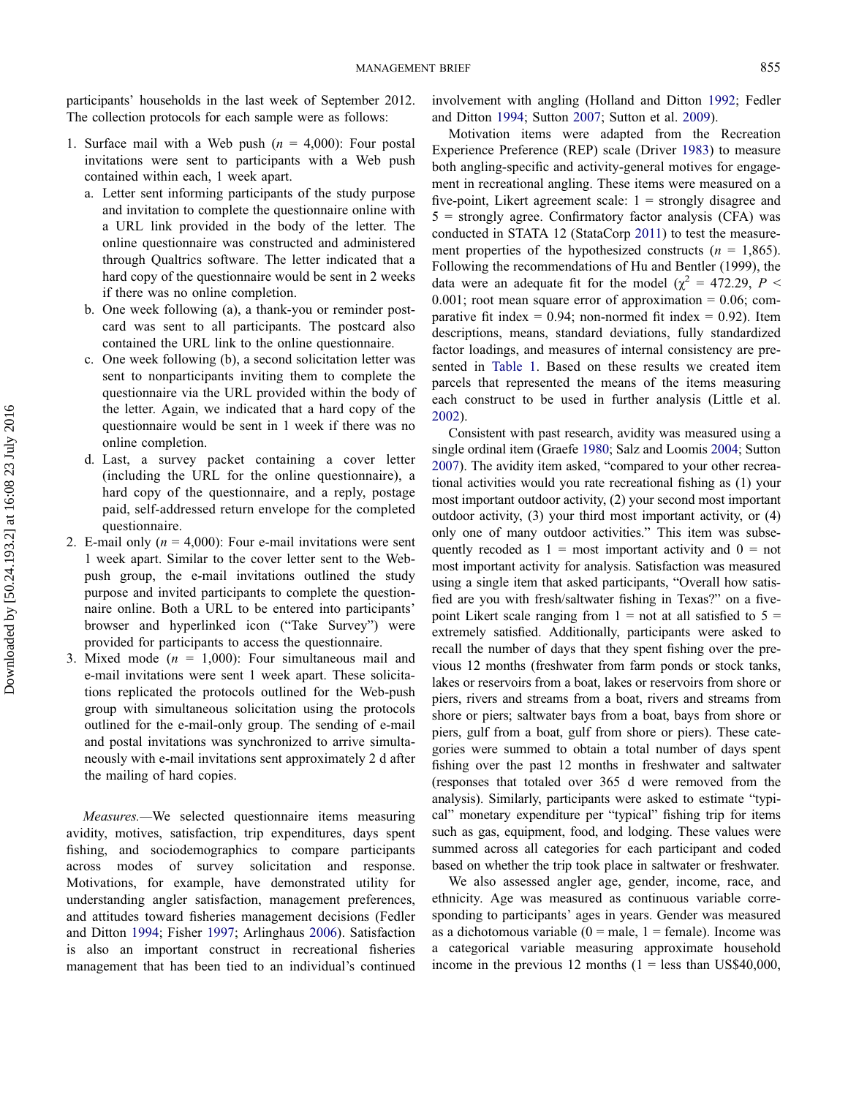participants' households in the last week of September 2012. The collection protocols for each sample were as follows:

- 1. Surface mail with a Web push  $(n = 4,000)$ : Four postal invitations were sent to participants with a Web push contained within each, 1 week apart.
	- a. Letter sent informing participants of the study purpose and invitation to complete the questionnaire online with a URL link provided in the body of the letter. The online questionnaire was constructed and administered through Qualtrics software. The letter indicated that a hard copy of the questionnaire would be sent in 2 weeks if there was no online completion.
	- b. One week following (a), a thank-you or reminder postcard was sent to all participants. The postcard also contained the URL link to the online questionnaire.
	- c. One week following (b), a second solicitation letter was sent to nonparticipants inviting them to complete the questionnaire via the URL provided within the body of the letter. Again, we indicated that a hard copy of the questionnaire would be sent in 1 week if there was no online completion.
	- d. Last, a survey packet containing a cover letter (including the URL for the online questionnaire), a hard copy of the questionnaire, and a reply, postage paid, self-addressed return envelope for the completed questionnaire.
- 2. E-mail only  $(n = 4,000)$ : Four e-mail invitations were sent 1 week apart. Similar to the cover letter sent to the Webpush group, the e-mail invitations outlined the study purpose and invited participants to complete the questionnaire online. Both a URL to be entered into participants' browser and hyperlinked icon ("Take Survey") were provided for participants to access the questionnaire.
- 3. Mixed mode  $(n = 1,000)$ : Four simultaneous mail and e-mail invitations were sent 1 week apart. These solicitations replicated the protocols outlined for the Web-push group with simultaneous solicitation using the protocols outlined for the e-mail-only group. The sending of e-mail and postal invitations was synchronized to arrive simultaneously with e-mail invitations sent approximately 2 d after the mailing of hard copies.

Measures.—We selected questionnaire items measuring avidity, motives, satisfaction, trip expenditures, days spent fishing, and sociodemographics to compare participants across modes of survey solicitation and response. Motivations, for example, have demonstrated utility for understanding angler satisfaction, management preferences, and attitudes toward fisheries management decisions (Fedler and Ditton [1994;](#page-10-24) Fisher [1997](#page-10-25); Arlinghaus [2006\)](#page-9-7). Satisfaction is also an important construct in recreational fisheries management that has been tied to an individual's continued involvement with angling (Holland and Ditton [1992](#page-10-26); Fedler and Ditton [1994;](#page-10-24) Sutton [2007](#page-10-27); Sutton et al. [2009](#page-11-4)).

Motivation items were adapted from the Recreation Experience Preference (REP) scale (Driver [1983](#page-10-28)) to measure both angling-specific and activity-general motives for engagement in recreational angling. These items were measured on a five-point, Likert agreement scale:  $1 =$  strongly disagree and  $5 =$  strongly agree. Confirmatory factor analysis (CFA) was conducted in STATA 12 (StataCorp [2011](#page-10-29)) to test the measurement properties of the hypothesized constructs ( $n = 1,865$ ). Following the recommendations of Hu and Bentler (1999), the data were an adequate fit for the model ( $\chi^2$  = 472.29, P < 0.001; root mean square error of approximation  $= 0.06$ ; comparative fit index =  $0.94$ ; non-normed fit index =  $0.92$ ). Item descriptions, means, standard deviations, fully standardized factor loadings, and measures of internal consistency are presented in [Table 1](#page-4-0). Based on these results we created item parcels that represented the means of the items measuring each construct to be used in further analysis (Little et al. [2002](#page-10-30)).

Consistent with past research, avidity was measured using a single ordinal item (Graefe [1980;](#page-10-31) Salz and Loomis [2004](#page-10-32); Sutton [2007\)](#page-10-27). The avidity item asked, "compared to your other recreational activities would you rate recreational fishing as (1) your most important outdoor activity, (2) your second most important outdoor activity, (3) your third most important activity, or (4) only one of many outdoor activities." This item was subsequently recoded as  $1 = \text{most important activity}$  and  $0 = \text{not}$ most important activity for analysis. Satisfaction was measured using a single item that asked participants, "Overall how satisfied are you with fresh/saltwater fishing in Texas?" on a fivepoint Likert scale ranging from  $1 =$  not at all satisfied to  $5 =$ extremely satisfied. Additionally, participants were asked to recall the number of days that they spent fishing over the previous 12 months (freshwater from farm ponds or stock tanks, lakes or reservoirs from a boat, lakes or reservoirs from shore or piers, rivers and streams from a boat, rivers and streams from shore or piers; saltwater bays from a boat, bays from shore or piers, gulf from a boat, gulf from shore or piers). These categories were summed to obtain a total number of days spent fishing over the past 12 months in freshwater and saltwater (responses that totaled over 365 d were removed from the analysis). Similarly, participants were asked to estimate "typical" monetary expenditure per "typical" fishing trip for items such as gas, equipment, food, and lodging. These values were summed across all categories for each participant and coded based on whether the trip took place in saltwater or freshwater.

We also assessed angler age, gender, income, race, and ethnicity. Age was measured as continuous variable corresponding to participants' ages in years. Gender was measured as a dichotomous variable ( $0 =$  male,  $1 =$  female). Income was a categorical variable measuring approximate household income in the previous 12 months  $(1 = \text{less than US$40,000}$ ,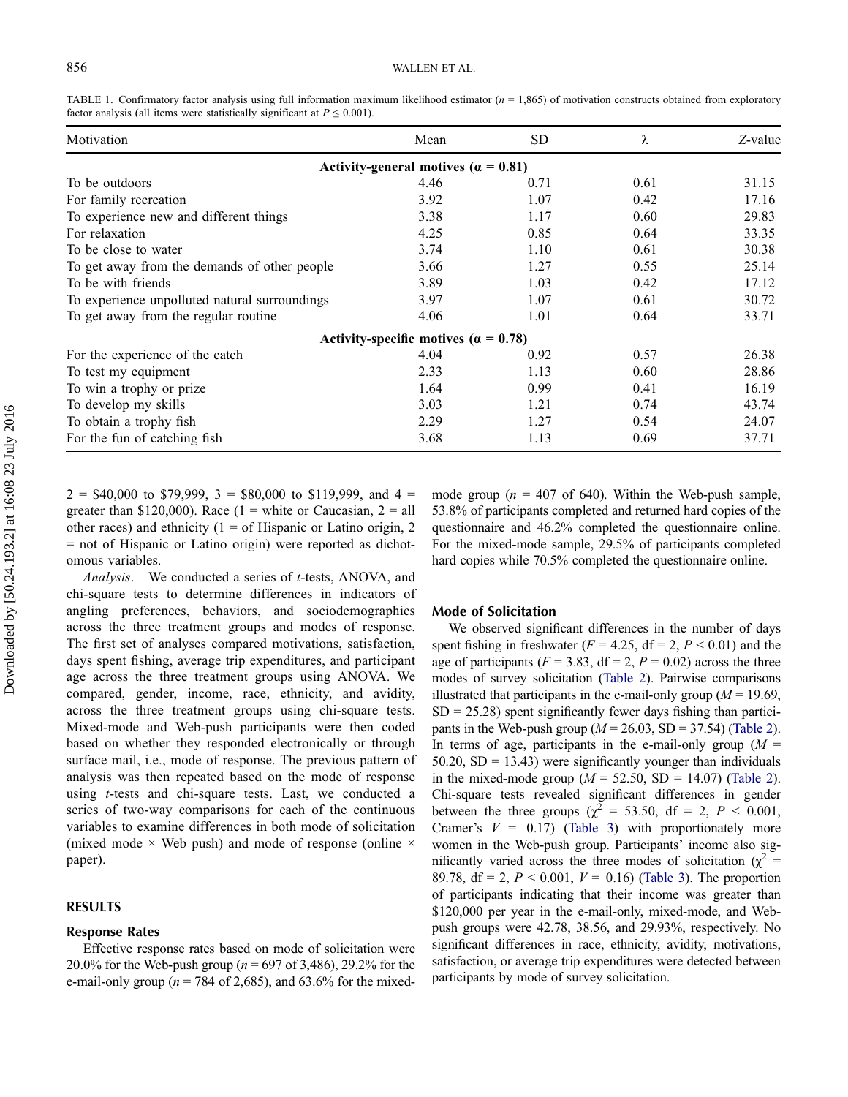<span id="page-4-0"></span>TABLE 1. Confirmatory factor analysis using full information maximum likelihood estimator ( $n = 1,865$ ) of motivation constructs obtained from exploratory factor analysis (all items were statistically significant at  $P \leq 0.001$ ).

| Motivation                                    | Mean                                          | <b>SD</b> | λ    | $Z$ -value |
|-----------------------------------------------|-----------------------------------------------|-----------|------|------------|
|                                               | Activity-general motives ( $\alpha = 0.81$ )  |           |      |            |
| To be outdoors                                | 4.46                                          | 0.71      | 0.61 | 31.15      |
| For family recreation                         | 3.92                                          | 1.07      | 0.42 | 17.16      |
| To experience new and different things        | 3.38                                          | 1.17      | 0.60 | 29.83      |
| For relaxation                                | 4.25                                          | 0.85      | 0.64 | 33.35      |
| To be close to water                          | 3.74                                          | 1.10      | 0.61 | 30.38      |
| To get away from the demands of other people  | 3.66                                          | 1.27      | 0.55 | 25.14      |
| To be with friends                            | 3.89                                          | 1.03      | 0.42 | 17.12      |
| To experience unpolluted natural surroundings | 3.97                                          | 1.07      | 0.61 | 30.72      |
| To get away from the regular routine          | 4.06                                          | 1.01      | 0.64 | 33.71      |
|                                               | Activity-specific motives ( $\alpha = 0.78$ ) |           |      |            |
| For the experience of the catch               | 4.04                                          | 0.92      | 0.57 | 26.38      |
| To test my equipment                          | 2.33                                          | 1.13      | 0.60 | 28.86      |
| To win a trophy or prize                      | 1.64                                          | 0.99      | 0.41 | 16.19      |
| To develop my skills                          | 3.03                                          | 1.21      | 0.74 | 43.74      |
| To obtain a trophy fish                       | 2.29                                          | 1.27      | 0.54 | 24.07      |
| For the fun of catching fish                  | 3.68                                          | 1.13      | 0.69 | 37.71      |

 $2 = $40,000$  to \$79,999,  $3 = $80,000$  to \$119,999, and  $4 =$ greater than \$120,000). Race  $(1 = \text{white or}$  Caucasian,  $2 = \text{all}$ other races) and ethnicity  $(1 =$  of Hispanic or Latino origin, 2 = not of Hispanic or Latino origin) were reported as dichotomous variables.

Analysis.—We conducted a series of t-tests, ANOVA, and chi-square tests to determine differences in indicators of angling preferences, behaviors, and sociodemographics across the three treatment groups and modes of response. The first set of analyses compared motivations, satisfaction, days spent fishing, average trip expenditures, and participant age across the three treatment groups using ANOVA. We compared, gender, income, race, ethnicity, and avidity, across the three treatment groups using chi-square tests. Mixed-mode and Web-push participants were then coded based on whether they responded electronically or through surface mail, i.e., mode of response. The previous pattern of analysis was then repeated based on the mode of response using t-tests and chi-square tests. Last, we conducted a series of two-way comparisons for each of the continuous variables to examine differences in both mode of solicitation (mixed mode  $\times$  Web push) and mode of response (online  $\times$ paper).

## RESULTS

#### Response Rates

Effective response rates based on mode of solicitation were 20.0% for the Web-push group ( $n = 697$  of 3,486), 29.2% for the e-mail-only group ( $n = 784$  of 2,685), and 63.6% for the mixedmode group ( $n = 407$  of 640). Within the Web-push sample, 53.8% of participants completed and returned hard copies of the questionnaire and 46.2% completed the questionnaire online. For the mixed-mode sample, 29.5% of participants completed hard copies while 70.5% completed the questionnaire online.

#### Mode of Solicitation

We observed significant differences in the number of days spent fishing in freshwater  $(F = 4.25, df = 2, P < 0.01)$  and the age of participants ( $F = 3.83$ , df = 2,  $P = 0.02$ ) across the three modes of survey solicitation ([Table 2\)](#page-5-0). Pairwise comparisons illustrated that participants in the e-mail-only group ( $M = 19.69$ ,  $SD = 25.28$ ) spent significantly fewer days fishing than participants in the Web-push group ( $M = 26.03$ , SD = 37.54) [\(Table 2](#page-5-0)). In terms of age, participants in the e-mail-only group  $(M =$ 50.20,  $SD = 13.43$ ) were significantly younger than individuals in the mixed-mode group ( $M = 52.50$ , SD = 14.07) [\(Table 2](#page-5-0)). Chi-square tests revealed significant differences in gender between the three groups ( $\chi^2 = 53.50$ , df = 2, P < 0.001, Cramer's  $V = 0.17$ ) [\(Table 3](#page-5-1)) with proportionately more women in the Web-push group. Participants' income also significantly varied across the three modes of solicitation ( $\chi^2$  = 89.78, df = 2,  $P < 0.001$ ,  $V = 0.16$ ) ([Table 3\)](#page-5-1). The proportion of participants indicating that their income was greater than \$120,000 per year in the e-mail-only, mixed-mode, and Webpush groups were 42.78, 38.56, and 29.93%, respectively. No significant differences in race, ethnicity, avidity, motivations, satisfaction, or average trip expenditures were detected between participants by mode of survey solicitation.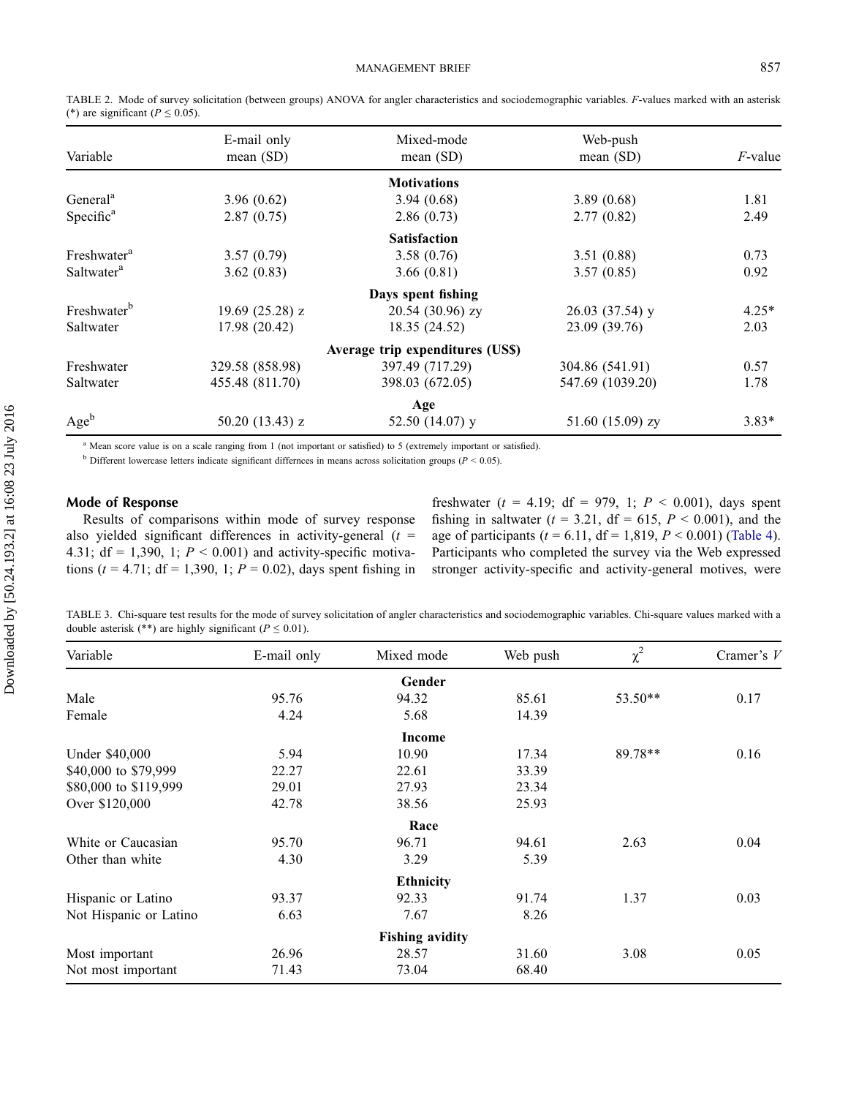|                         | E-mail only       | Mixed-mode                       | Web-push           |            |
|-------------------------|-------------------|----------------------------------|--------------------|------------|
| Variable                | mean $(SD)$       | mean $(SD)$                      | mean $(SD)$        | $F$ -value |
|                         |                   | <b>Motivations</b>               |                    |            |
| General <sup>a</sup>    | 3.96(0.62)        | 3.94(0.68)                       | 3.89(0.68)         | 1.81       |
| Specific <sup>a</sup>   | 2.87(0.75)        | 2.86(0.73)                       | 2.77(0.82)         | 2.49       |
|                         |                   | <b>Satisfaction</b>              |                    |            |
| Freshwater <sup>a</sup> | 3.57(0.79)        | 3.58(0.76)                       | 3.51(0.88)         | 0.73       |
| Saltwater <sup>a</sup>  | 3.62(0.83)        | 3.66(0.81)                       | 3.57(0.85)         | 0.92       |
|                         |                   | Days spent fishing               |                    |            |
| Freshwater <sup>b</sup> | 19.69 $(25.28)$ z | 20.54 (30.96) zy                 | 26.03 (37.54) y    | $4.25*$    |
| Saltwater               | 17.98 (20.42)     | 18.35 (24.52)                    | 23.09 (39.76)      | 2.03       |
|                         |                   | Average trip expenditures (US\$) |                    |            |
| Freshwater              | 329.58 (858.98)   | 397.49 (717.29)                  | 304.86 (541.91)    | 0.57       |
| Saltwater               | 455.48 (811.70)   | 398.03 (672.05)                  | 547.69 (1039.20)   | 1.78       |
|                         |                   | Age                              |                    |            |
| Age <sup>b</sup>        | 50.20 $(13.43)$ z | 52.50 (14.07) y                  | 51.60 $(15.09)$ zy | $3.83*$    |

<span id="page-5-0"></span>TABLE 2. Mode of survey solicitation (between groups) ANOVA for angler characteristics and sociodemographic variables. F-values marked with an asterisk (\*) are significant ( $P \le 0.05$ ).

<sup>a</sup> Mean score value is on a scale ranging from 1 (not important or satisfied) to 5 (extremely important or satisfied).

 $<sup>b</sup>$  Different lowercase letters indicate significant differnces in means across solicitation groups ( $P < 0.05$ ).</sup>

## Mode of Response

Results of comparisons within mode of survey response also yielded significant differences in activity-general  $(t =$ 4.31; df = 1,390, 1;  $P < 0.001$ ) and activity-specific motivations ( $t = 4.71$ ; df = 1,390, 1;  $P = 0.02$ ), days spent fishing in

freshwater ( $t = 4.19$ ; df = 979, 1;  $P < 0.001$ ), days spent fishing in saltwater ( $t = 3.21$ , df = 615,  $P < 0.001$ ), and the age of participants ( $t = 6.11$ , df = 1,819,  $P < 0.001$ ) [\(Table 4](#page-6-0)). Participants who completed the survey via the Web expressed stronger activity-specific and activity-general motives, were

<span id="page-5-1"></span>TABLE 3. Chi-square test results for the mode of survey solicitation of angler characteristics and sociodemographic variables. Chi-square values marked with a double asterisk (\*\*) are highly significant ( $P \le 0.01$ ).

| Variable               | E-mail only | Mixed mode             | Web push | $\chi^2$  | Cramer's $V$ |
|------------------------|-------------|------------------------|----------|-----------|--------------|
|                        |             | Gender                 |          |           |              |
| Male                   | 95.76       | 94.32                  | 85.61    | $53.50**$ | 0.17         |
| Female                 | 4.24        | 5.68                   | 14.39    |           |              |
|                        |             | Income                 |          |           |              |
| Under \$40,000         | 5.94        | 10.90                  | 17.34    | 89.78**   | 0.16         |
| \$40,000 to \$79,999   | 22.27       | 22.61                  | 33.39    |           |              |
| \$80,000 to \$119,999  | 29.01       | 27.93                  | 23.34    |           |              |
| Over \$120,000         | 42.78       | 38.56                  | 25.93    |           |              |
|                        |             | Race                   |          |           |              |
| White or Caucasian     | 95.70       | 96.71                  | 94.61    | 2.63      | 0.04         |
| Other than white       | 4.30        | 3.29                   | 5.39     |           |              |
|                        |             | <b>Ethnicity</b>       |          |           |              |
| Hispanic or Latino     | 93.37       | 92.33                  | 91.74    | 1.37      | 0.03         |
| Not Hispanic or Latino | 6.63        | 7.67                   | 8.26     |           |              |
|                        |             | <b>Fishing avidity</b> |          |           |              |
| Most important         | 26.96       | 28.57                  | 31.60    | 3.08      | 0.05         |
| Not most important     | 71.43       | 73.04                  | 68.40    |           |              |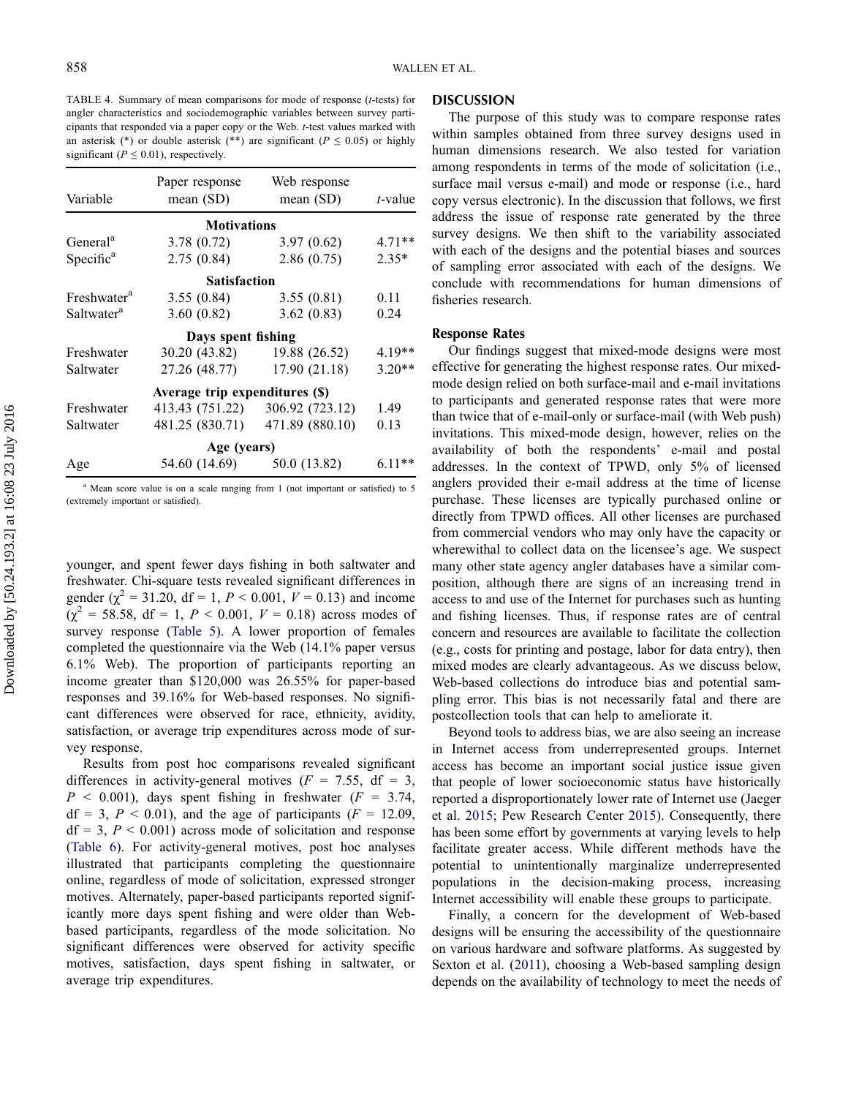<span id="page-6-0"></span>TABLE 4. Summary of mean comparisons for mode of response (t-tests) for angler characteristics and sociodemographic variables between survey participants that responded via a paper copy or the Web. t-test values marked with an asterisk (\*) or double asterisk (\*\*) are significant ( $P \le 0.05$ ) or highly significant ( $P \leq 0.01$ ), respectively.

| Variable                       | Paper response<br>mean (SD) | Web response<br>mean (SD) | t-value  |  |  |  |  |
|--------------------------------|-----------------------------|---------------------------|----------|--|--|--|--|
|                                | <b>Motivations</b>          |                           |          |  |  |  |  |
| General <sup>a</sup>           | 3.78(0.72)                  | 3.97(0.62)                | $4.71**$ |  |  |  |  |
| Specific <sup>a</sup>          | 2.75(0.84)                  | 2.86(0.75)                | $2.35*$  |  |  |  |  |
|                                | <b>Satisfaction</b>         |                           |          |  |  |  |  |
| Freshwater <sup>a</sup>        | 3.55(0.84)                  | 3.55(0.81)                | 0.11     |  |  |  |  |
| Saltwater <sup>a</sup>         | 3.60(0.82)                  | 3.62(0.83)                | 0.24     |  |  |  |  |
|                                | Days spent fishing          |                           |          |  |  |  |  |
| Freshwater                     | 30.20 (43.82)               | 19.88 (26.52)             | 4.19**   |  |  |  |  |
| Saltwater                      | 27.26 (48.77)               | 17.90 (21.18)             | $3.20**$ |  |  |  |  |
| Average trip expenditures (\$) |                             |                           |          |  |  |  |  |
| Freshwater                     | 413.43 (751.22)             | 306.92 (723.12)           | 1.49     |  |  |  |  |
| Saltwater                      | 481.25 (830.71)             | 471.89 (880.10)           | 0.13     |  |  |  |  |
|                                | Age (years)                 |                           |          |  |  |  |  |
| Age                            | 54.60 (14.69) 50.0 (13.82)  |                           | $6.11**$ |  |  |  |  |

<sup>a</sup> Mean score value is on a scale ranging from 1 (not important or satisfied) to 5 (extremely important or satisfied).

younger, and spent fewer days fishing in both saltwater and freshwater. Chi-square tests revealed significant differences in gender ( $\chi^2 = 31.20$ , df = 1, P < 0.001,  $V = 0.13$ ) and income  $(\chi^2 = 58.58, df = 1, P < 0.001, V = 0.18)$  across modes of survey response ([Table 5](#page-7-0)). A lower proportion of females completed the questionnaire via the Web (14.1% paper versus 6.1% Web). The proportion of participants reporting an income greater than \$120,000 was 26.55% for paper-based responses and 39.16% for Web-based responses. No significant differences were observed for race, ethnicity, avidity, satisfaction, or average trip expenditures across mode of survey response.

Results from post hoc comparisons revealed significant differences in activity-general motives ( $F = 7.55$ , df = 3,  $P < 0.001$ ), days spent fishing in freshwater ( $F = 3.74$ ,  $df = 3$ ,  $P < 0.01$ ), and the age of participants ( $F = 12.09$ ,  $df = 3$ ,  $P < 0.001$ ) across mode of solicitation and response [\(Table 6](#page-8-0)). For activity-general motives, post hoc analyses illustrated that participants completing the questionnaire online, regardless of mode of solicitation, expressed stronger motives. Alternately, paper-based participants reported significantly more days spent fishing and were older than Webbased participants, regardless of the mode solicitation. No significant differences were observed for activity specific motives, satisfaction, days spent fishing in saltwater, or average trip expenditures.

#### DISCUSSION

The purpose of this study was to compare response rates within samples obtained from three survey designs used in human dimensions research. We also tested for variation among respondents in terms of the mode of solicitation (i.e., surface mail versus e-mail) and mode or response (i.e., hard copy versus electronic). In the discussion that follows, we first address the issue of response rate generated by the three survey designs. We then shift to the variability associated with each of the designs and the potential biases and sources of sampling error associated with each of the designs. We conclude with recommendations for human dimensions of fisheries research.

#### Response Rates

Our findings suggest that mixed-mode designs were most effective for generating the highest response rates. Our mixedmode design relied on both surface-mail and e-mail invitations to participants and generated response rates that were more than twice that of e-mail-only or surface-mail (with Web push) invitations. This mixed-mode design, however, relies on the availability of both the respondents' e-mail and postal addresses. In the context of TPWD, only 5% of licensed anglers provided their e-mail address at the time of license purchase. These licenses are typically purchased online or directly from TPWD offices. All other licenses are purchased from commercial vendors who may only have the capacity or wherewithal to collect data on the licensee's age. We suspect many other state agency angler databases have a similar composition, although there are signs of an increasing trend in access to and use of the Internet for purchases such as hunting and fishing licenses. Thus, if response rates are of central concern and resources are available to facilitate the collection (e.g., costs for printing and postage, labor for data entry), then mixed modes are clearly advantageous. As we discuss below, Web-based collections do introduce bias and potential sampling error. This bias is not necessarily fatal and there are postcollection tools that can help to ameliorate it.

Beyond tools to address bias, we are also seeing an increase in Internet access from underrepresented groups. Internet access has become an important social justice issue given that people of lower socioeconomic status have historically reported a disproportionately lower rate of Internet use (Jaeger et al. [2015](#page-10-33); Pew Research Center [2015](#page-10-34)). Consequently, there has been some effort by governments at varying levels to help facilitate greater access. While different methods have the potential to unintentionally marginalize underrepresented populations in the decision-making process, increasing Internet accessibility will enable these groups to participate.

Finally, a concern for the development of Web-based designs will be ensuring the accessibility of the questionnaire on various hardware and software platforms. As suggested by Sexton et al. ([2011](#page-10-11)), choosing a Web-based sampling design depends on the availability of technology to meet the needs of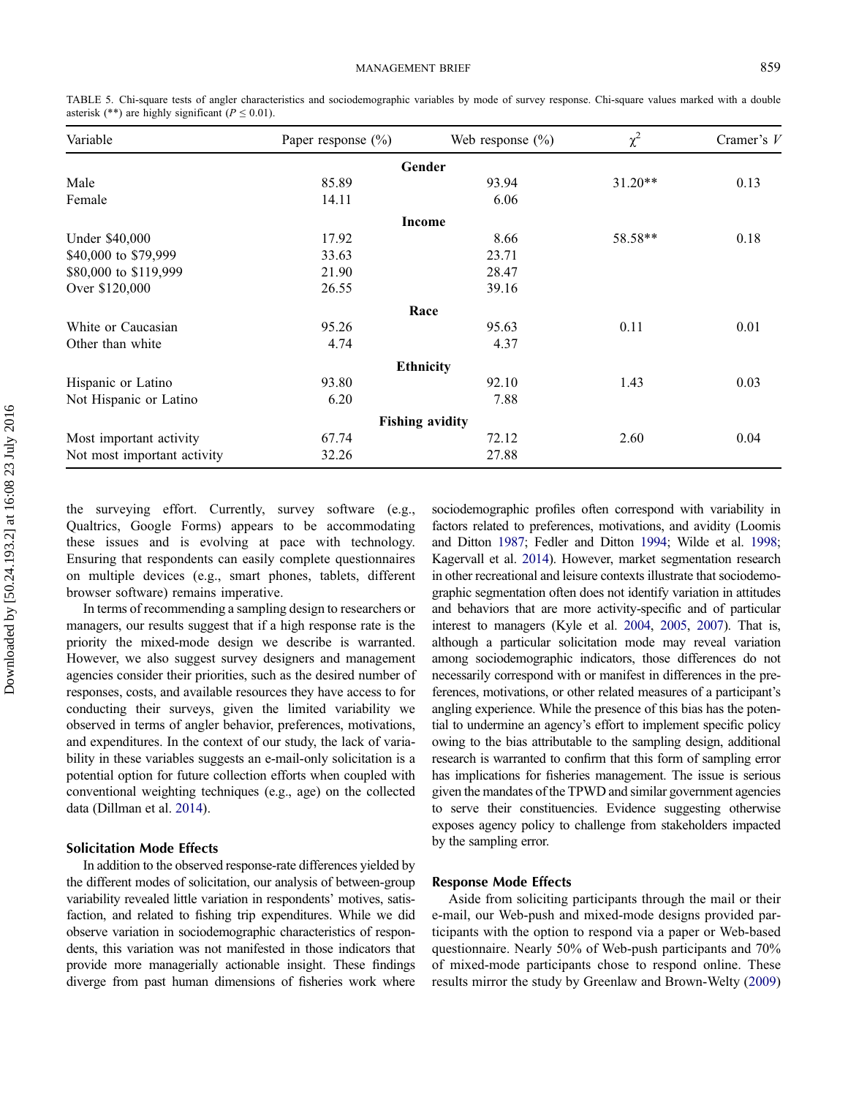<span id="page-7-0"></span>TABLE 5. Chi-square tests of angler characteristics and sociodemographic variables by mode of survey response. Chi-square values marked with a double asterisk (\*\*) are highly significant ( $P \le 0.01$ ).

| Variable                    | Paper response $(\% )$ | Web response $(\% )$   | $\chi^2$  | Cramer's $V$ |
|-----------------------------|------------------------|------------------------|-----------|--------------|
|                             |                        | Gender                 |           |              |
| Male                        | 85.89                  | 93.94                  | $31.20**$ | 0.13         |
| Female                      | 14.11                  | 6.06                   |           |              |
|                             |                        | <b>Income</b>          |           |              |
| Under \$40,000              | 17.92                  | 8.66                   | 58.58**   | 0.18         |
| \$40,000 to \$79,999        | 33.63                  | 23.71                  |           |              |
| \$80,000 to \$119,999       | 21.90                  | 28.47                  |           |              |
| Over \$120,000              | 26.55                  | 39.16                  |           |              |
|                             |                        | Race                   |           |              |
| White or Caucasian          | 95.26                  | 95.63                  | 0.11      | 0.01         |
| Other than white            | 4.74                   | 4.37                   |           |              |
|                             |                        | <b>Ethnicity</b>       |           |              |
| Hispanic or Latino          | 93.80                  | 92.10                  | 1.43      | 0.03         |
| Not Hispanic or Latino      | 6.20                   | 7.88                   |           |              |
|                             |                        | <b>Fishing avidity</b> |           |              |
| Most important activity     | 67.74                  | 72.12                  | 2.60      | 0.04         |
| Not most important activity | 32.26                  | 27.88                  |           |              |

the surveying effort. Currently, survey software (e.g., Qualtrics, Google Forms) appears to be accommodating these issues and is evolving at pace with technology. Ensuring that respondents can easily complete questionnaires on multiple devices (e.g., smart phones, tablets, different browser software) remains imperative.

In terms of recommending a sampling design to researchers or managers, our results suggest that if a high response rate is the priority the mixed-mode design we describe is warranted. However, we also suggest survey designers and management agencies consider their priorities, such as the desired number of responses, costs, and available resources they have access to for conducting their surveys, given the limited variability we observed in terms of angler behavior, preferences, motivations, and expenditures. In the context of our study, the lack of variability in these variables suggests an e-mail-only solicitation is a potential option for future collection efforts when coupled with conventional weighting techniques (e.g., age) on the collected data (Dillman et al. [2014](#page-10-12)).

#### Solicitation Mode Effects

In addition to the observed response-rate differences yielded by the different modes of solicitation, our analysis of between-group variability revealed little variation in respondents' motives, satisfaction, and related to fishing trip expenditures. While we did observe variation in sociodemographic characteristics of respondents, this variation was not manifested in those indicators that provide more managerially actionable insight. These findings diverge from past human dimensions of fisheries work where sociodemographic profiles often correspond with variability in factors related to preferences, motivations, and avidity (Loomis and Ditton [1987;](#page-10-35) Fedler and Ditton [1994;](#page-10-24) Wilde et al. [1998](#page-11-5); Kagervall et al. [2014](#page-10-36)). However, market segmentation research in other recreational and leisure contexts illustrate that sociodemographic segmentation often does not identify variation in attitudes and behaviors that are more activity-specific and of particular interest to managers (Kyle et al. [2004,](#page-10-37) [2005](#page-10-38), [2007\)](#page-10-39). That is, although a particular solicitation mode may reveal variation among sociodemographic indicators, those differences do not necessarily correspond with or manifest in differences in the preferences, motivations, or other related measures of a participant's angling experience. While the presence of this bias has the potential to undermine an agency's effort to implement specific policy owing to the bias attributable to the sampling design, additional research is warranted to confirm that this form of sampling error has implications for fisheries management. The issue is serious given the mandates of the TPWD and similar government agencies to serve their constituencies. Evidence suggesting otherwise exposes agency policy to challenge from stakeholders impacted by the sampling error.

#### Response Mode Effects

Aside from soliciting participants through the mail or their e-mail, our Web-push and mixed-mode designs provided participants with the option to respond via a paper or Web-based questionnaire. Nearly 50% of Web-push participants and 70% of mixed-mode participants chose to respond online. These results mirror the study by Greenlaw and Brown-Welty ([2009\)](#page-10-16)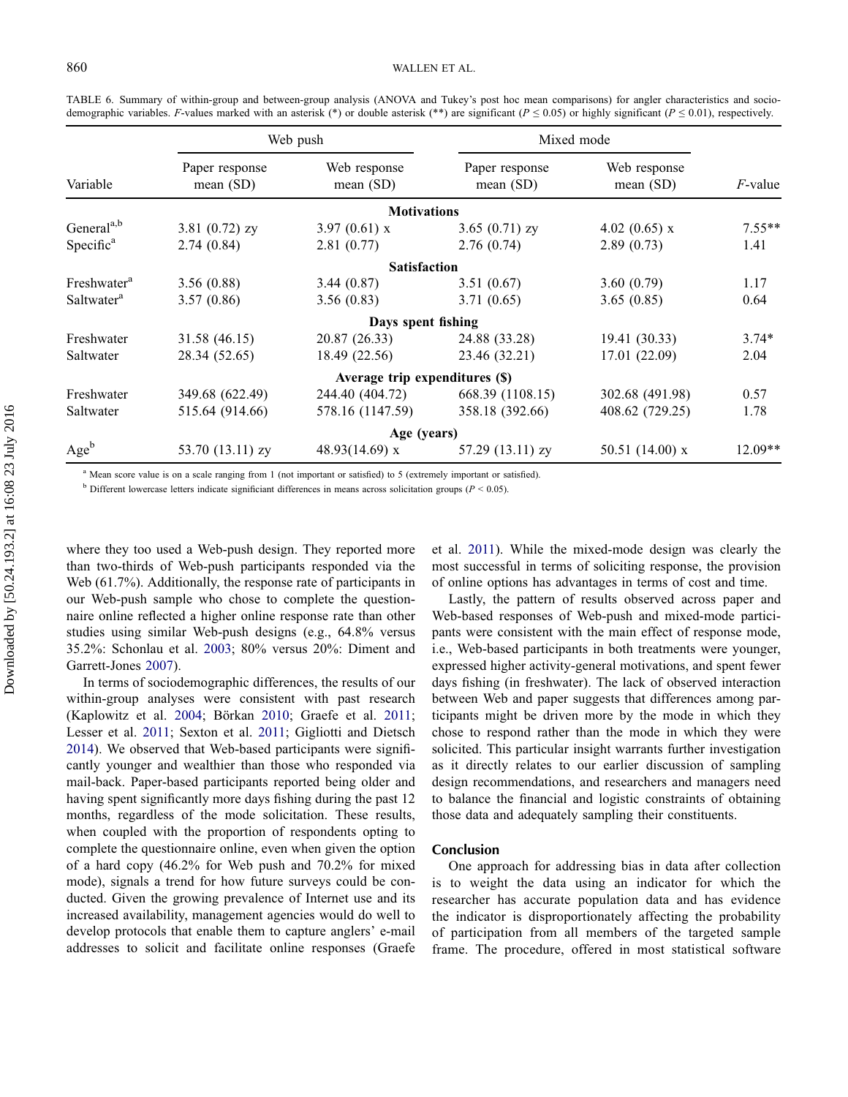|                         | Web push                      |                                | Mixed mode                    |                             |            |
|-------------------------|-------------------------------|--------------------------------|-------------------------------|-----------------------------|------------|
| Variable                | Paper response<br>mean $(SD)$ | Web response<br>mean $(SD)$    | Paper response<br>mean $(SD)$ | Web response<br>mean $(SD)$ | $F$ -value |
|                         |                               | <b>Motivations</b>             |                               |                             |            |
| General <sup>a,b</sup>  | 3.81 $(0.72)$ zy              | 3.97 $(0.61)$ x                | 3.65 $(0.71)$ zy              | 4.02 $(0.65)x$              | $7.55**$   |
| Specific <sup>a</sup>   | 2.74(0.84)                    | 2.81(0.77)                     | 2.76(0.74)                    | 2.89(0.73)                  | 1.41       |
|                         |                               | <b>Satisfaction</b>            |                               |                             |            |
| Freshwater <sup>a</sup> | 3.56(0.88)                    | 3.44(0.87)                     | 3.51(0.67)                    | 3.60(0.79)                  | 1.17       |
| Saltwater <sup>a</sup>  | 3.57(0.86)                    | 3.56(0.83)                     | 3.71(0.65)                    | 3.65(0.85)                  | 0.64       |
|                         |                               | Days spent fishing             |                               |                             |            |
| Freshwater              | 31.58 (46.15)                 | 20.87 (26.33)                  | 24.88 (33.28)                 | 19.41 (30.33)               | $3.74*$    |
| Saltwater               | 28.34 (52.65)                 | 18.49 (22.56)                  | 23.46 (32.21)                 | 17.01 (22.09)               | 2.04       |
|                         |                               | Average trip expenditures (\$) |                               |                             |            |
| Freshwater              | 349.68 (622.49)               | 244.40 (404.72)                | 668.39 (1108.15)              | 302.68 (491.98)             | 0.57       |
| Saltwater               | 515.64 (914.66)               | 578.16 (1147.59)               | 358.18 (392.66)               | 408.62 (729.25)             | 1.78       |
|                         |                               | Age (years)                    |                               |                             |            |
| Age <sup>b</sup>        | 53.70 (13.11) zy              | $48.93(14.69)$ x               | 57.29 (13.11) zy              | 50.51 $(14.00)$ x           | 12.09**    |

<span id="page-8-0"></span>TABLE 6. Summary of within-group and between-group analysis (ANOVA and Tukey's post hoc mean comparisons) for angler characteristics and sociodemographic variables. F-values marked with an asterisk (\*) or double asterisk (\*\*) are significant ( $P \le 0.05$ ) or highly significant ( $P \le 0.01$ ), respectively.

<sup>a</sup> Mean score value is on a scale ranging from 1 (not important or satisfied) to 5 (extremely important or satisfied).

 $<sup>b</sup>$  Different lowercase letters indicate significiant differences in means across solicitation groups ( $P < 0.05$ ).</sup>

where they too used a Web-push design. They reported more than two-thirds of Web-push participants responded via the Web (61.7%). Additionally, the response rate of participants in our Web-push sample who chose to complete the questionnaire online reflected a higher online response rate than other studies using similar Web-push designs (e.g., 64.8% versus 35.2%: Schonlau et al. [2003](#page-10-40); 80% versus 20%: Diment and Garrett-Jones [2007](#page-10-41)).

In terms of sociodemographic differences, the results of our within-group analyses were consistent with past research (Kaplowitz et al. [2004](#page-10-42); Börkan [2010](#page-9-8); Graefe et al. [2011](#page-10-9); Lesser et al. [2011;](#page-10-10) Sexton et al. [2011](#page-10-11); Gigliotti and Dietsch [2014\)](#page-10-8). We observed that Web-based participants were significantly younger and wealthier than those who responded via mail-back. Paper-based participants reported being older and having spent significantly more days fishing during the past 12 months, regardless of the mode solicitation. These results, when coupled with the proportion of respondents opting to complete the questionnaire online, even when given the option of a hard copy (46.2% for Web push and 70.2% for mixed mode), signals a trend for how future surveys could be conducted. Given the growing prevalence of Internet use and its increased availability, management agencies would do well to develop protocols that enable them to capture anglers' e-mail addresses to solicit and facilitate online responses (Graefe et al. [2011\)](#page-10-9). While the mixed-mode design was clearly the most successful in terms of soliciting response, the provision of online options has advantages in terms of cost and time.

Lastly, the pattern of results observed across paper and Web-based responses of Web-push and mixed-mode participants were consistent with the main effect of response mode, i.e., Web-based participants in both treatments were younger, expressed higher activity-general motivations, and spent fewer days fishing (in freshwater). The lack of observed interaction between Web and paper suggests that differences among participants might be driven more by the mode in which they chose to respond rather than the mode in which they were solicited. This particular insight warrants further investigation as it directly relates to our earlier discussion of sampling design recommendations, and researchers and managers need to balance the financial and logistic constraints of obtaining those data and adequately sampling their constituents.

#### Conclusion

One approach for addressing bias in data after collection is to weight the data using an indicator for which the researcher has accurate population data and has evidence the indicator is disproportionately affecting the probability of participation from all members of the targeted sample frame. The procedure, offered in most statistical software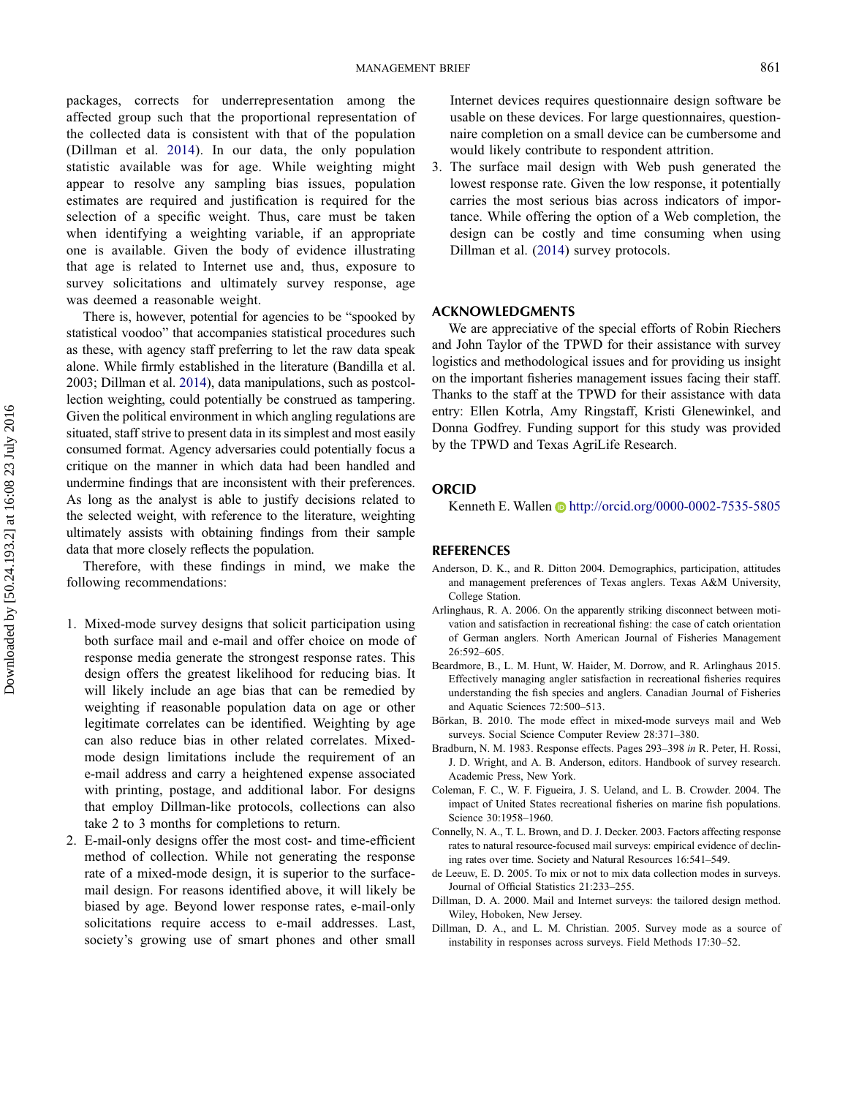packages, corrects for underrepresentation among the affected group such that the proportional representation of the collected data is consistent with that of the population (Dillman et al. [2014](#page-10-12)). In our data, the only population statistic available was for age. While weighting might appear to resolve any sampling bias issues, population estimates are required and justification is required for the selection of a specific weight. Thus, care must be taken when identifying a weighting variable, if an appropriate one is available. Given the body of evidence illustrating that age is related to Internet use and, thus, exposure to survey solicitations and ultimately survey response, age was deemed a reasonable weight.

There is, however, potential for agencies to be "spooked by statistical voodoo" that accompanies statistical procedures such as these, with agency staff preferring to let the raw data speak alone. While firmly established in the literature (Bandilla et al. 2003; Dillman et al. [2014](#page-10-12)), data manipulations, such as postcollection weighting, could potentially be construed as tampering. Given the political environment in which angling regulations are situated, staff strive to present data in its simplest and most easily consumed format. Agency adversaries could potentially focus a critique on the manner in which data had been handled and undermine findings that are inconsistent with their preferences. As long as the analyst is able to justify decisions related to the selected weight, with reference to the literature, weighting ultimately assists with obtaining findings from their sample data that more closely reflects the population.

Therefore, with these findings in mind, we make the following recommendations:

- 1. Mixed-mode survey designs that solicit participation using both surface mail and e-mail and offer choice on mode of response media generate the strongest response rates. This design offers the greatest likelihood for reducing bias. It will likely include an age bias that can be remedied by weighting if reasonable population data on age or other legitimate correlates can be identified. Weighting by age can also reduce bias in other related correlates. Mixedmode design limitations include the requirement of an e-mail address and carry a heightened expense associated with printing, postage, and additional labor. For designs that employ Dillman-like protocols, collections can also take 2 to 3 months for completions to return.
- 2. E-mail-only designs offer the most cost- and time-efficient method of collection. While not generating the response rate of a mixed-mode design, it is superior to the surfacemail design. For reasons identified above, it will likely be biased by age. Beyond lower response rates, e-mail-only solicitations require access to e-mail addresses. Last, society's growing use of smart phones and other small

Internet devices requires questionnaire design software be usable on these devices. For large questionnaires, questionnaire completion on a small device can be cumbersome and would likely contribute to respondent attrition.

3. The surface mail design with Web push generated the lowest response rate. Given the low response, it potentially carries the most serious bias across indicators of importance. While offering the option of a Web completion, the design can be costly and time consuming when using Dillman et al. ([2014\)](#page-10-12) survey protocols.

#### ACKNOWLEDGMENTS

We are appreciative of the special efforts of Robin Riechers and John Taylor of the TPWD for their assistance with survey logistics and methodological issues and for providing us insight on the important fisheries management issues facing their staff. Thanks to the staff at the TPWD for their assistance with data entry: Ellen Kotrla, Amy Ringstaff, Kristi Glenewinkel, and Donna Godfrey. Funding support for this study was provided by the TPWD and Texas AgriLife Research.

#### **ORCID**

Kenneth E. Wallen **b** <http://orcid.org/0000-0002-7535-5805>

#### REFERENCES

- Anderson, D. K., and R. Ditton 2004. Demographics, participation, attitudes and management preferences of Texas anglers. Texas A&M University, College Station.
- <span id="page-9-7"></span>Arlinghaus, R. A. 2006. On the apparently striking disconnect between motivation and satisfaction in recreational fishing: the case of catch orientation of German anglers. North American Journal of Fisheries Management 26:592–605.
- <span id="page-9-6"></span>Beardmore, B., L. M. Hunt, W. Haider, M. Dorrow, and R. Arlinghaus 2015. Effectively managing angler satisfaction in recreational fisheries requires understanding the fish species and anglers. Canadian Journal of Fisheries and Aquatic Sciences 72:500–513.
- <span id="page-9-8"></span>Börkan, B. 2010. The mode effect in mixed-mode surveys mail and Web surveys. Social Science Computer Review 28:371–380.
- <span id="page-9-2"></span>Bradburn, N. M. 1983. Response effects. Pages 293–398 in R. Peter, H. Rossi, J. D. Wright, and A. B. Anderson, editors. Handbook of survey research. Academic Press, New York.
- <span id="page-9-0"></span>Coleman, F. C., W. F. Figueira, J. S. Ueland, and L. B. Crowder. 2004. The impact of United States recreational fisheries on marine fish populations. Science 30:1958–1960.
- <span id="page-9-1"></span>Connelly, N. A., T. L. Brown, and D. J. Decker. 2003. Factors affecting response rates to natural resource-focused mail surveys: empirical evidence of declining rates over time. Society and Natural Resources 16:541–549.
- <span id="page-9-4"></span>de Leeuw, E. D. 2005. To mix or not to mix data collection modes in surveys. Journal of Official Statistics 21:233–255.
- <span id="page-9-3"></span>Dillman, D. A. 2000. Mail and Internet surveys: the tailored design method. Wiley, Hoboken, New Jersey.
- <span id="page-9-5"></span>Dillman, D. A., and L. M. Christian. 2005. Survey mode as a source of instability in responses across surveys. Field Methods 17:30–52.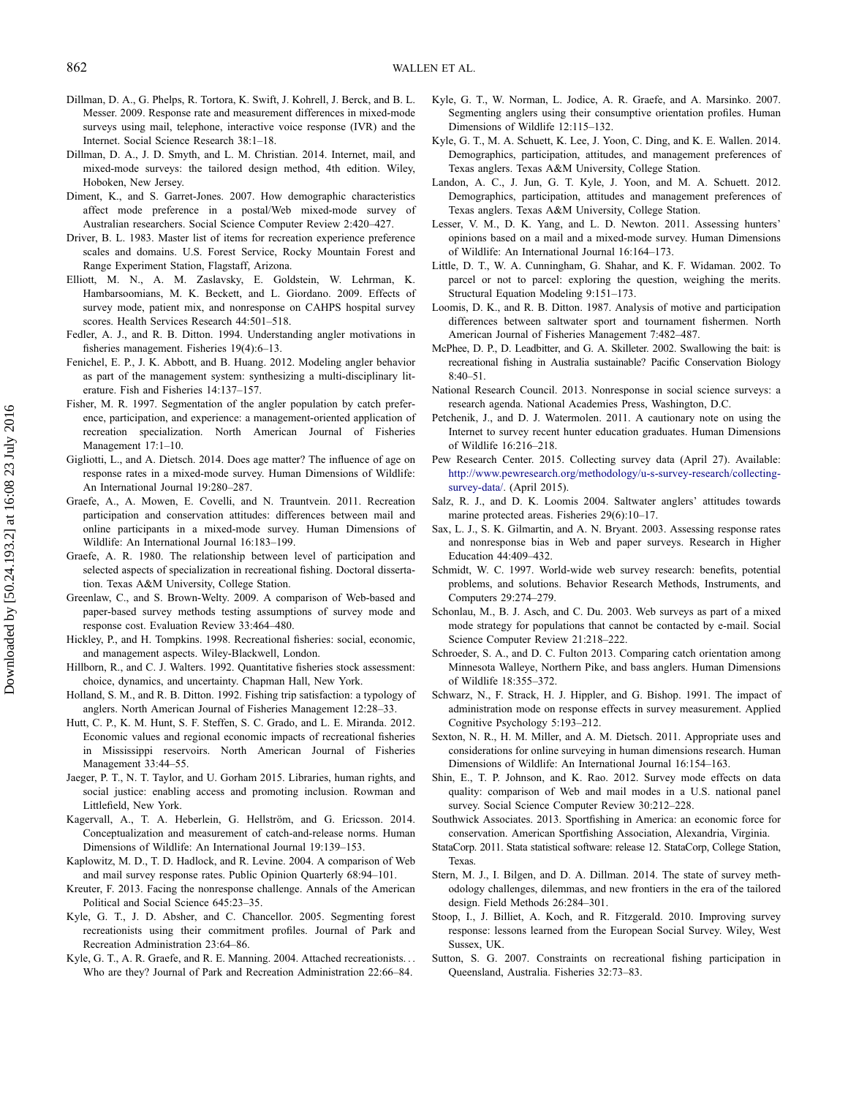- <span id="page-10-13"></span>Dillman, D. A., G. Phelps, R. Tortora, K. Swift, J. Kohrell, J. Berck, and B. L. Messer. 2009. Response rate and measurement differences in mixed-mode surveys using mail, telephone, interactive voice response (IVR) and the Internet. Social Science Research 38:1–18.
- <span id="page-10-12"></span>Dillman, D. A., J. D. Smyth, and L. M. Christian. 2014. Internet, mail, and mixed-mode surveys: the tailored design method, 4th edition. Wiley, Hoboken, New Jersey.
- <span id="page-10-41"></span>Diment, K., and S. Garret-Jones. 2007. How demographic characteristics affect mode preference in a postal/Web mixed-mode survey of Australian researchers. Social Science Computer Review 2:420–427.
- <span id="page-10-28"></span>Driver, B. L. 1983. Master list of items for recreation experience preference scales and domains. U.S. Forest Service, Rocky Mountain Forest and Range Experiment Station, Flagstaff, Arizona.
- <span id="page-10-19"></span>Elliott, M. N., A. M. Zaslavsky, E. Goldstein, W. Lehrman, K. Hambarsoomians, M. K. Beckett, and L. Giordano. 2009. Effects of survey mode, patient mix, and nonresponse on CAHPS hospital survey scores. Health Services Research 44:501–518.
- <span id="page-10-24"></span>Fedler, A. J., and R. B. Ditton. 1994. Understanding angler motivations in fisheries management. Fisheries 19(4):6–13.
- <span id="page-10-4"></span>Fenichel, E. P., J. K. Abbott, and B. Huang. 2012. Modeling angler behavior as part of the management system: synthesizing a multi-disciplinary literature. Fish and Fisheries 14:137–157.
- <span id="page-10-25"></span>Fisher, M. R. 1997. Segmentation of the angler population by catch preference, participation, and experience: a management-oriented application of recreation specialization. North American Journal of Fisheries Management 17:1–10.
- <span id="page-10-8"></span>Gigliotti, L., and A. Dietsch. 2014. Does age matter? The influence of age on response rates in a mixed-mode survey. Human Dimensions of Wildlife: An International Journal 19:280–287.
- <span id="page-10-9"></span>Graefe, A., A. Mowen, E. Covelli, and N. Trauntvein. 2011. Recreation participation and conservation attitudes: differences between mail and online participants in a mixed-mode survey. Human Dimensions of Wildlife: An International Journal 16:183–199.
- <span id="page-10-31"></span>Graefe, A. R. 1980. The relationship between level of participation and selected aspects of specialization in recreational fishing. Doctoral dissertation. Texas A&M University, College Station.
- <span id="page-10-16"></span>Greenlaw, C., and S. Brown-Welty. 2009. A comparison of Web-based and paper-based survey methods testing assumptions of survey mode and response cost. Evaluation Review 33:464–480.
- <span id="page-10-0"></span>Hickley, P., and H. Tompkins. 1998. Recreational fisheries: social, economic, and management aspects. Wiley-Blackwell, London.
- <span id="page-10-3"></span>Hillborn, R., and C. J. Walters. 1992. Quantitative fisheries stock assessment: choice, dynamics, and uncertainty. Chapman Hall, New York.
- <span id="page-10-26"></span>Holland, S. M., and R. B. Ditton. 1992. Fishing trip satisfaction: a typology of anglers. North American Journal of Fisheries Management 12:28–33.
- <span id="page-10-1"></span>Hutt, C. P., K. M. Hunt, S. F. Steffen, S. C. Grado, and L. E. Miranda. 2012. Economic values and regional economic impacts of recreational fisheries in Mississippi reservoirs. North American Journal of Fisheries Management 33:44–55.
- <span id="page-10-33"></span>Jaeger, P. T., N. T. Taylor, and U. Gorham 2015. Libraries, human rights, and social justice: enabling access and promoting inclusion. Rowman and Littlefield, New York.
- <span id="page-10-36"></span>Kagervall, A., T. A. Heberlein, G. Hellström, and G. Ericsson. 2014. Conceptualization and measurement of catch-and-release norms. Human Dimensions of Wildlife: An International Journal 19:139–153.
- <span id="page-10-42"></span>Kaplowitz, M. D., T. D. Hadlock, and R. Levine. 2004. A comparison of Web and mail survey response rates. Public Opinion Quarterly 68:94–101.
- <span id="page-10-7"></span>Kreuter, F. 2013. Facing the nonresponse challenge. Annals of the American Political and Social Science 645:23–35.
- <span id="page-10-38"></span>Kyle, G. T., J. D. Absher, and C. Chancellor. 2005. Segmenting forest recreationists using their commitment profiles. Journal of Park and Recreation Administration 23:64–86.
- <span id="page-10-37"></span>Kyle, G. T., A. R. Graefe, and R. E. Manning. 2004. Attached recreationists. . . Who are they? Journal of Park and Recreation Administration 22:66–84.
- <span id="page-10-39"></span>Kyle, G. T., W. Norman, L. Jodice, A. R. Graefe, and A. Marsinko. 2007. Segmenting anglers using their consumptive orientation profiles. Human Dimensions of Wildlife 12:115–132.
- <span id="page-10-23"></span>Kyle, G. T., M. A. Schuett, K. Lee, J. Yoon, C. Ding, and K. E. Wallen. 2014. Demographics, participation, attitudes, and management preferences of Texas anglers. Texas A&M University, College Station.
- Landon, A. C., J. Jun, G. T. Kyle, J. Yoon, and M. A. Schuett. 2012. Demographics, participation, attitudes and management preferences of Texas anglers. Texas A&M University, College Station.
- <span id="page-10-10"></span>Lesser, V. M., D. K. Yang, and L. D. Newton. 2011. Assessing hunters' opinions based on a mail and a mixed-mode survey. Human Dimensions of Wildlife: An International Journal 16:164–173.
- <span id="page-10-30"></span>Little, D. T., W. A. Cunningham, G. Shahar, and K. F. Widaman. 2002. To parcel or not to parcel: exploring the question, weighing the merits. Structural Equation Modeling 9:151–173.
- <span id="page-10-35"></span>Loomis, D. K., and R. B. Ditton. 1987. Analysis of motive and participation differences between saltwater sport and tournament fishermen. North American Journal of Fisheries Management 7:482–487.
- <span id="page-10-2"></span>McPhee, D. P., D. Leadbitter, and G. A. Skilleter. 2002. Swallowing the bait: is recreational fishing in Australia sustainable? Pacific Conservation Biology 8:40–51.
- <span id="page-10-5"></span>National Research Council. 2013. Nonresponse in social science surveys: a research agenda. National Academies Press, Washington, D.C.
- Petchenik, J., and D. J. Watermolen. 2011. A cautionary note on using the Internet to survey recent hunter education graduates. Human Dimensions of Wildlife 16:216–218.
- <span id="page-10-34"></span>Pew Research Center. 2015. Collecting survey data (April 27). Available: [http://www.pewresearch.org/methodology/u-s-survey-research/collecting](http://www.pewresearch.org/methodology/u-s-survey-research/collecting-survey-data/)[survey-data/.](http://www.pewresearch.org/methodology/u-s-survey-research/collecting-survey-data/) (April 2015).
- <span id="page-10-32"></span>Salz, R. J., and D. K. Loomis 2004. Saltwater anglers' attitudes towards marine protected areas. Fisheries 29(6):10–17.
- <span id="page-10-17"></span>Sax, L. J., S. K. Gilmartin, and A. N. Bryant. 2003. Assessing response rates and nonresponse bias in Web and paper surveys. Research in Higher Education 44:409–432.
- <span id="page-10-15"></span>Schmidt, W. C. 1997. World-wide web survey research: benefits, potential problems, and solutions. Behavior Research Methods, Instruments, and Computers 29:274–279.
- <span id="page-10-40"></span>Schonlau, M., B. J. Asch, and C. Du. 2003. Web surveys as part of a mixed mode strategy for populations that cannot be contacted by e-mail. Social Science Computer Review 21:218–222.
- <span id="page-10-21"></span>Schroeder, S. A., and D. C. Fulton 2013. Comparing catch orientation among Minnesota Walleye, Northern Pike, and bass anglers. Human Dimensions of Wildlife 18:355–372.
- <span id="page-10-18"></span>Schwarz, N., F. Strack, H. J. Hippler, and G. Bishop. 1991. The impact of administration mode on response effects in survey measurement. Applied Cognitive Psychology 5:193–212.
- <span id="page-10-11"></span>Sexton, N. R., H. M. Miller, and A. M. Dietsch. 2011. Appropriate uses and considerations for online surveying in human dimensions research. Human Dimensions of Wildlife: An International Journal 16:154–163.
- <span id="page-10-20"></span>Shin, E., T. P. Johnson, and K. Rao. 2012. Survey mode effects on data quality: comparison of Web and mail modes in a U.S. national panel survey. Social Science Computer Review 30:212–228.
- <span id="page-10-22"></span>Southwick Associates. 2013. Sportfishing in America: an economic force for conservation. American Sportfishing Association, Alexandria, Virginia.
- <span id="page-10-29"></span>StataCorp. 2011. Stata statistical software: release 12. StataCorp, College Station, Texas.
- <span id="page-10-14"></span>Stern, M. J., I. Bilgen, and D. A. Dillman. 2014. The state of survey methodology challenges, dilemmas, and new frontiers in the era of the tailored design. Field Methods 26:284–301.
- <span id="page-10-6"></span>Stoop, I., J. Billiet, A. Koch, and R. Fitzgerald. 2010. Improving survey response: lessons learned from the European Social Survey. Wiley, West Sussex, UK.
- <span id="page-10-27"></span>Sutton, S. G. 2007. Constraints on recreational fishing participation in Queensland, Australia. Fisheries 32:73–83.